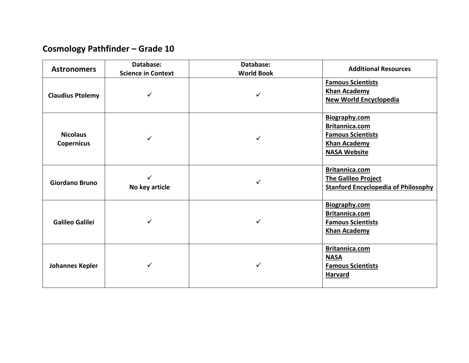## **Cosmology Pathfinder – Grade 10**

| <b>Astronomers</b>                   | Database:                 | Database:         | <b>Additional Resources</b>                                                                                      |
|--------------------------------------|---------------------------|-------------------|------------------------------------------------------------------------------------------------------------------|
|                                      | <b>Science in Context</b> | <b>World Book</b> |                                                                                                                  |
| <b>Claudius Ptolemy</b>              | ✓                         | ✓                 | <b>Famous Scientists</b><br><b>Khan Academy</b><br><b>New World Encyclopedia</b>                                 |
| <b>Nicolaus</b><br><b>Copernicus</b> | ✓                         | ✓                 | <b>Biography.com</b><br>Britannica.com<br><b>Famous Scientists</b><br><b>Khan Academy</b><br><b>NASA Website</b> |
| <b>Giordano Bruno</b>                | ✓<br>No key article       |                   | Britannica.com<br><b>The Galileo Project</b><br><b>Stanford Encyclopedia of Philosophy</b>                       |
| <b>Galileo Galilei</b>               |                           |                   | Biography.com<br>Britannica.com<br><b>Famous Scientists</b><br><b>Khan Academy</b>                               |
| <b>Johannes Kepler</b>               | ✓                         |                   | Britannica.com<br><b>NASA</b><br><b>Famous Scientists</b><br><b>Harvard</b>                                      |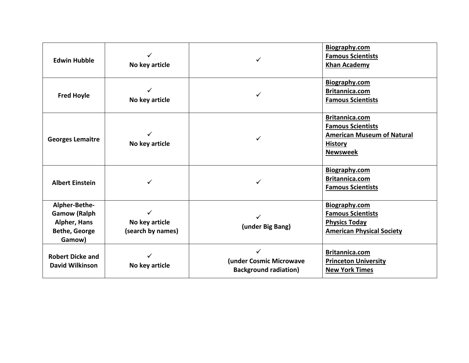| <b>Edwin Hubble</b>                                                                           | No key article                           |                                                              | Biography.com<br><b>Famous Scientists</b><br><b>Khan Academy</b>                                                     |
|-----------------------------------------------------------------------------------------------|------------------------------------------|--------------------------------------------------------------|----------------------------------------------------------------------------------------------------------------------|
| <b>Fred Hoyle</b>                                                                             | No key article                           |                                                              | <b>Biography.com</b><br>Britannica.com<br><b>Famous Scientists</b>                                                   |
| <b>Georges Lemaitre</b>                                                                       | No key article                           |                                                              | Britannica.com<br><b>Famous Scientists</b><br><b>American Museum of Natural</b><br><b>History</b><br><b>Newsweek</b> |
| <b>Albert Einstein</b>                                                                        |                                          | ✓                                                            | Biography.com<br>Britannica.com<br><b>Famous Scientists</b>                                                          |
| Alpher-Bethe-<br><b>Gamow (Ralph</b><br><b>Alpher, Hans</b><br><b>Bethe, George</b><br>Gamow) | ✓<br>No key article<br>(search by names) | (under Big Bang)                                             | Biography.com<br><b>Famous Scientists</b><br><b>Physics Today</b><br><b>American Physical Society</b>                |
| <b>Robert Dicke and</b><br>David Wilkinson                                                    | No key article                           | ✓<br>(under Cosmic Microwave<br><b>Background radiation)</b> | Britannica.com<br><b>Princeton University</b><br><b>New York Times</b>                                               |